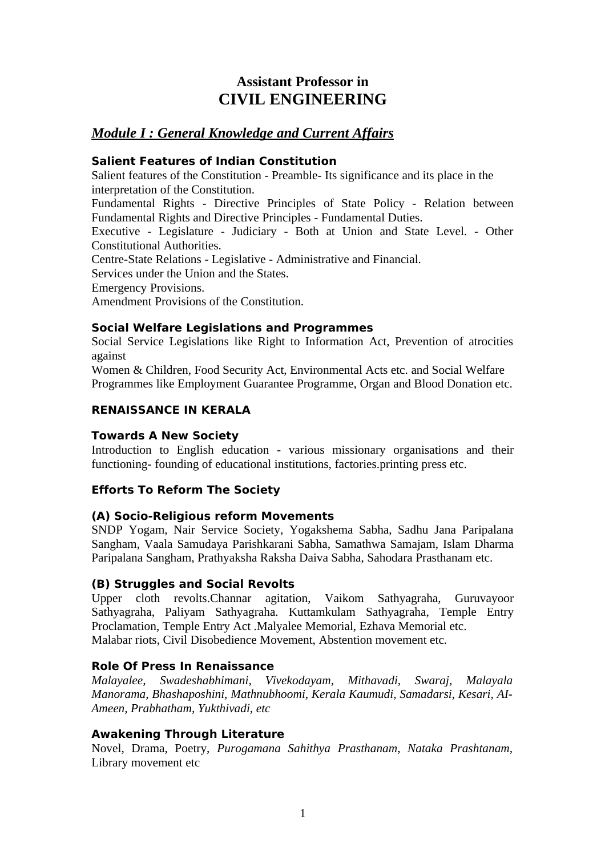# **Assistant Professor in CIVIL ENGINEERING**

## *Module I : General Knowledge and Current Affairs*

## **Salient Features of Indian Constitution**

Salient features of the Constitution - Preamble- Its significance and its place in the interpretation of the Constitution.

Fundamental Rights - Directive Principles of State Policy - Relation between Fundamental Rights and Directive Principles - Fundamental Duties.

Executive - Legislature - Judiciary - Both at Union and State Level. - Other Constitutional Authorities.

Centre-State Relations - Legislative - Administrative and Financial.

Services under the Union and the States.

Emergency Provisions.

Amendment Provisions of the Constitution.

## **Social Welfare Legislations and Programmes**

Social Service Legislations like Right to Information Act, Prevention of atrocities against

Women & Children, Food Security Act, Environmental Acts etc. and Social Welfare Programmes like Employment Guarantee Programme, Organ and Blood Donation etc.

## **RENAISSANCE IN KERALA**

## **Towards A New Society**

Introduction to English education - various missionary organisations and their functioning- founding of educational institutions, factories.printing press etc.

## **Efforts To Reform The Society**

## **(A) Socio-Religious reform Movements**

SNDP Yogam, Nair Service Society, Yogakshema Sabha, Sadhu Jana Paripalana Sangham, Vaala Samudaya Parishkarani Sabha, Samathwa Samajam, Islam Dharma Paripalana Sangham, Prathyaksha Raksha Daiva Sabha, Sahodara Prasthanam etc.

## **(B) Struggles and Social Revolts**

Upper cloth revolts.Channar agitation, Vaikom Sathyagraha, Guruvayoor Sathyagraha, Paliyam Sathyagraha. Kuttamkulam Sathyagraha, Temple Entry Proclamation, Temple Entry Act .Malyalee Memorial, Ezhava Memorial etc. Malabar riots, Civil Disobedience Movement, Abstention movement etc.

## **Role Of Press In Renaissance**

*Malayalee, Swadeshabhimani, Vivekodayam, Mithavadi, Swaraj, Malayala Manorama, Bhashaposhini, Mathnubhoomi, Kerala Kaumudi, Samadarsi, Kesari, AI-Ameen, Prabhatham, Yukthivadi, etc*

## **Awakening Through Literature**

Novel, Drama, Poetry, *Purogamana Sahithya Prasthanam, Nataka Prashtanam,* Library movement etc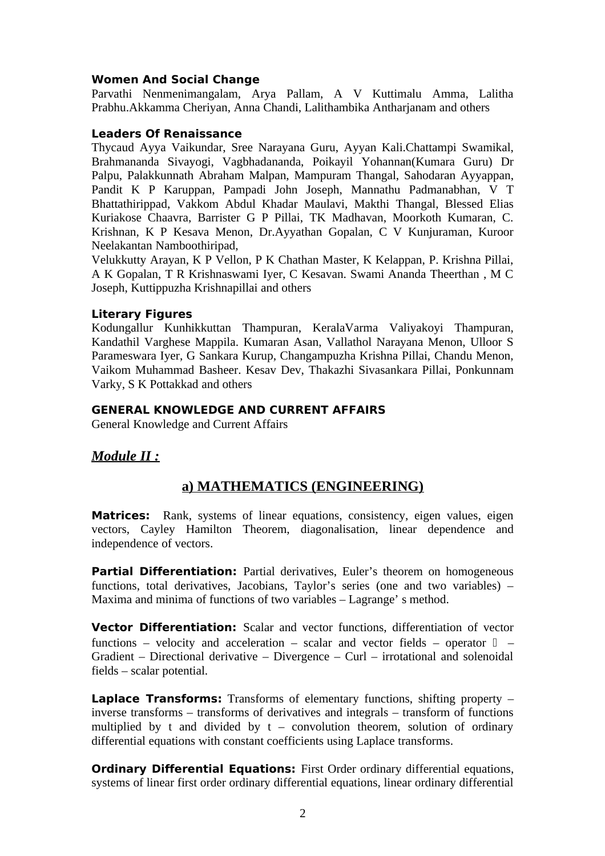#### **Women And Social Change**

Parvathi Nenmenimangalam, Arya Pallam, A V Kuttimalu Amma, Lalitha Prabhu.Akkamma Cheriyan, Anna Chandi, Lalithambika Antharjanam and others

#### **Leaders Of Renaissance**

Thycaud Ayya Vaikundar, Sree Narayana Guru, Ayyan Kali.Chattampi Swamikal, Brahmananda Sivayogi, Vagbhadananda, Poikayil Yohannan(Kumara Guru) Dr Palpu, Palakkunnath Abraham Malpan, Mampuram Thangal, Sahodaran Ayyappan, Pandit K P Karuppan, Pampadi John Joseph, Mannathu Padmanabhan, V T Bhattathirippad, Vakkom Abdul Khadar Maulavi, Makthi Thangal, Blessed Elias Kuriakose Chaavra, Barrister G P Pillai, TK Madhavan, Moorkoth Kumaran, C. Krishnan, K P Kesava Menon, Dr.Ayyathan Gopalan, C V Kunjuraman, Kuroor Neelakantan Namboothiripad,

Velukkutty Arayan, K P Vellon, P K Chathan Master, K Kelappan, P. Krishna Pillai, A K Gopalan, T R Krishnaswami Iyer, C Kesavan. Swami Ananda Theerthan , M C Joseph, Kuttippuzha Krishnapillai and others

#### **Literary Figures**

Kodungallur Kunhikkuttan Thampuran, KeralaVarma Valiyakoyi Thampuran, Kandathil Varghese Mappila. Kumaran Asan, Vallathol Narayana Menon, Ulloor S Parameswara Iyer, G Sankara Kurup, Changampuzha Krishna Pillai, Chandu Menon, Vaikom Muhammad Basheer. Kesav Dev, Thakazhi Sivasankara Pillai, Ponkunnam Varky, S K Pottakkad and others

#### **GENERAL KNOWLEDGE AND CURRENT AFFAIRS**

General Knowledge and Current Affairs

## *Module II :*

## **a) MATHEMATICS (ENGINEERING)**

**Matrices:** Rank, systems of linear equations, consistency, eigen values, eigen vectors, Cayley Hamilton Theorem, diagonalisation, linear dependence and independence of vectors.

**Partial Differentiation:** Partial derivatives, Euler's theorem on homogeneous functions, total derivatives, Jacobians, Taylor's series (one and two variables) – Maxima and minima of functions of two variables – Lagrange' s method.

**Vector Differentiation:** Scalar and vector functions, differentiation of vector functions – velocity and acceleration – scalar and vector fields – operator  $\Box$  – Gradient – Directional derivative – Divergence – Curl – irrotational and solenoidal fields – scalar potential.

**Laplace Transforms:** Transforms of elementary functions, shifting property – inverse transforms – transforms of derivatives and integrals – transform of functions multiplied by t and divided by  $t -$  convolution theorem, solution of ordinary differential equations with constant coefficients using Laplace transforms.

**Ordinary Differential Equations: First Order ordinary differential equations,** systems of linear first order ordinary differential equations, linear ordinary differential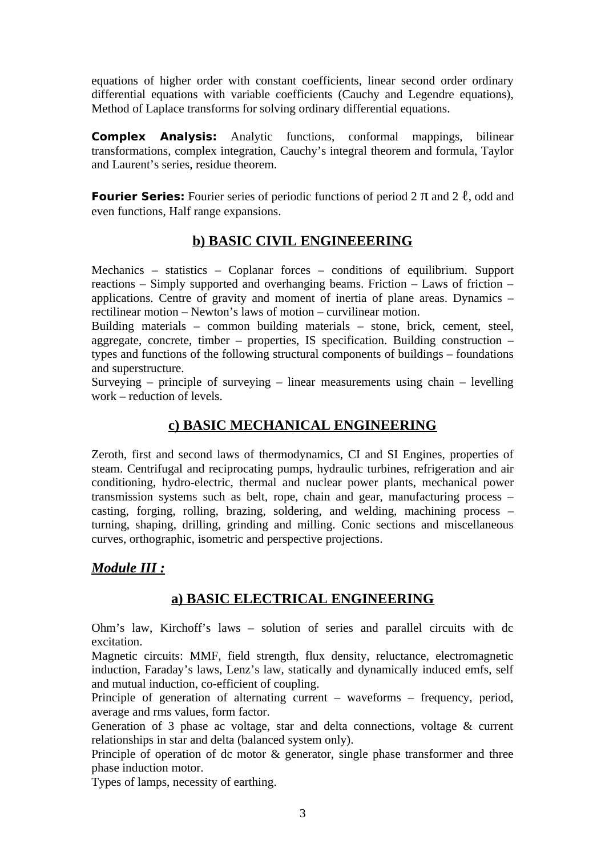equations of higher order with constant coefficients, linear second order ordinary differential equations with variable coefficients (Cauchy and Legendre equations), Method of Laplace transforms for solving ordinary differential equations.

**Complex Analysis:** Analytic functions, conformal mappings, bilinear transformations, complex integration, Cauchy's integral theorem and formula, Taylor and Laurent's series, residue theorem.

**Fourier Series:** Fourier series of periodic functions of period 2 π and 2 ℓ, odd and even functions, Half range expansions.

# **b) BASIC CIVIL ENGINEEERING**

Mechanics – statistics – Coplanar forces – conditions of equilibrium. Support reactions – Simply supported and overhanging beams. Friction – Laws of friction – applications. Centre of gravity and moment of inertia of plane areas. Dynamics – rectilinear motion – Newton's laws of motion – curvilinear motion.

Building materials – common building materials – stone, brick, cement, steel, aggregate, concrete, timber – properties, IS specification. Building construction – types and functions of the following structural components of buildings – foundations and superstructure.

Surveying – principle of surveying – linear measurements using chain – levelling work – reduction of levels.

# **c) BASIC MECHANICAL ENGINEERING**

Zeroth, first and second laws of thermodynamics, CI and SI Engines, properties of steam. Centrifugal and reciprocating pumps, hydraulic turbines, refrigeration and air conditioning, hydro-electric, thermal and nuclear power plants, mechanical power transmission systems such as belt, rope, chain and gear, manufacturing process – casting, forging, rolling, brazing, soldering, and welding, machining process – turning, shaping, drilling, grinding and milling. Conic sections and miscellaneous curves, orthographic, isometric and perspective projections.

# *Module III :*

# **a) BASIC ELECTRICAL ENGINEERING**

Ohm's law, Kirchoff's laws – solution of series and parallel circuits with dc excitation.

Magnetic circuits: MMF, field strength, flux density, reluctance, electromagnetic induction, Faraday's laws, Lenz's law, statically and dynamically induced emfs, self and mutual induction, co-efficient of coupling.

Principle of generation of alternating current – waveforms – frequency, period, average and rms values, form factor.

Generation of 3 phase ac voltage, star and delta connections, voltage & current relationships in star and delta (balanced system only).

Principle of operation of dc motor & generator, single phase transformer and three phase induction motor.

Types of lamps, necessity of earthing.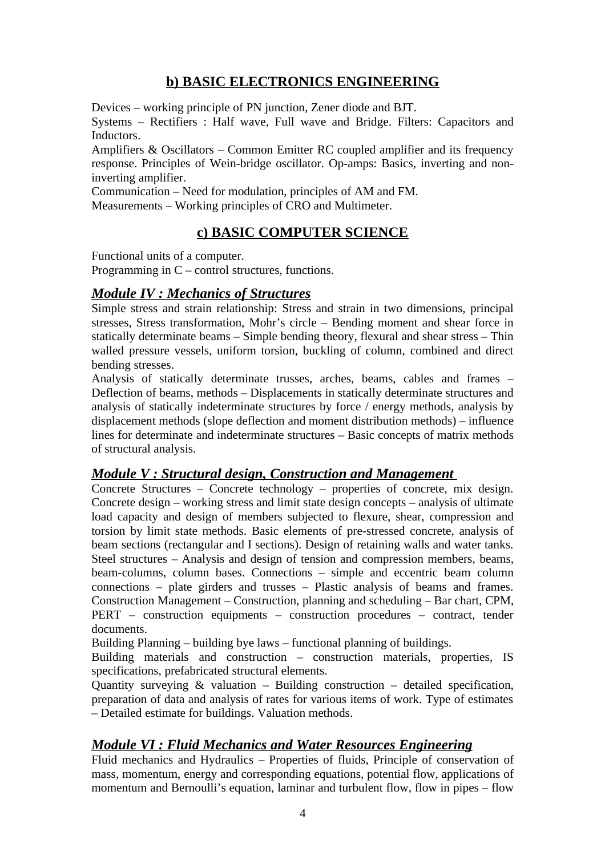# **b) BASIC ELECTRONICS ENGINEERING**

Devices – working principle of PN junction, Zener diode and BJT.

Systems – Rectifiers : Half wave, Full wave and Bridge. Filters: Capacitors and Inductors.

Amplifiers & Oscillators – Common Emitter RC coupled amplifier and its frequency response. Principles of Wein-bridge oscillator. Op-amps: Basics, inverting and noninverting amplifier.

Communication – Need for modulation, principles of AM and FM.

Measurements – Working principles of CRO and Multimeter.

# **c) BASIC COMPUTER SCIENCE**

Functional units of a computer. Programming in  $C$  – control structures, functions.

## *Module IV : Mechanics of Structures*

Simple stress and strain relationship: Stress and strain in two dimensions, principal stresses, Stress transformation, Mohr's circle – Bending moment and shear force in statically determinate beams – Simple bending theory, flexural and shear stress – Thin walled pressure vessels, uniform torsion, buckling of column, combined and direct bending stresses.

Analysis of statically determinate trusses, arches, beams, cables and frames – Deflection of beams, methods – Displacements in statically determinate structures and analysis of statically indeterminate structures by force / energy methods, analysis by displacement methods (slope deflection and moment distribution methods) – influence lines for determinate and indeterminate structures – Basic concepts of matrix methods of structural analysis.

## *Module V : Structural design, Construction and Management*

Concrete Structures – Concrete technology – properties of concrete, mix design. Concrete design – working stress and limit state design concepts – analysis of ultimate load capacity and design of members subjected to flexure, shear, compression and torsion by limit state methods. Basic elements of pre-stressed concrete, analysis of beam sections (rectangular and I sections). Design of retaining walls and water tanks. Steel structures – Analysis and design of tension and compression members, beams, beam-columns, column bases. Connections – simple and eccentric beam column connections – plate girders and trusses – Plastic analysis of beams and frames. Construction Management – Construction, planning and scheduling – Bar chart, CPM, PERT – construction equipments – construction procedures – contract, tender documents.

Building Planning – building bye laws – functional planning of buildings.

Building materials and construction – construction materials, properties, IS specifications, prefabricated structural elements.

Quantity surveying & valuation – Building construction – detailed specification, preparation of data and analysis of rates for various items of work. Type of estimates – Detailed estimate for buildings. Valuation methods.

# *Module VI : Fluid Mechanics and Water Resources Engineering*

Fluid mechanics and Hydraulics – Properties of fluids, Principle of conservation of mass, momentum, energy and corresponding equations, potential flow, applications of momentum and Bernoulli's equation, laminar and turbulent flow, flow in pipes – flow